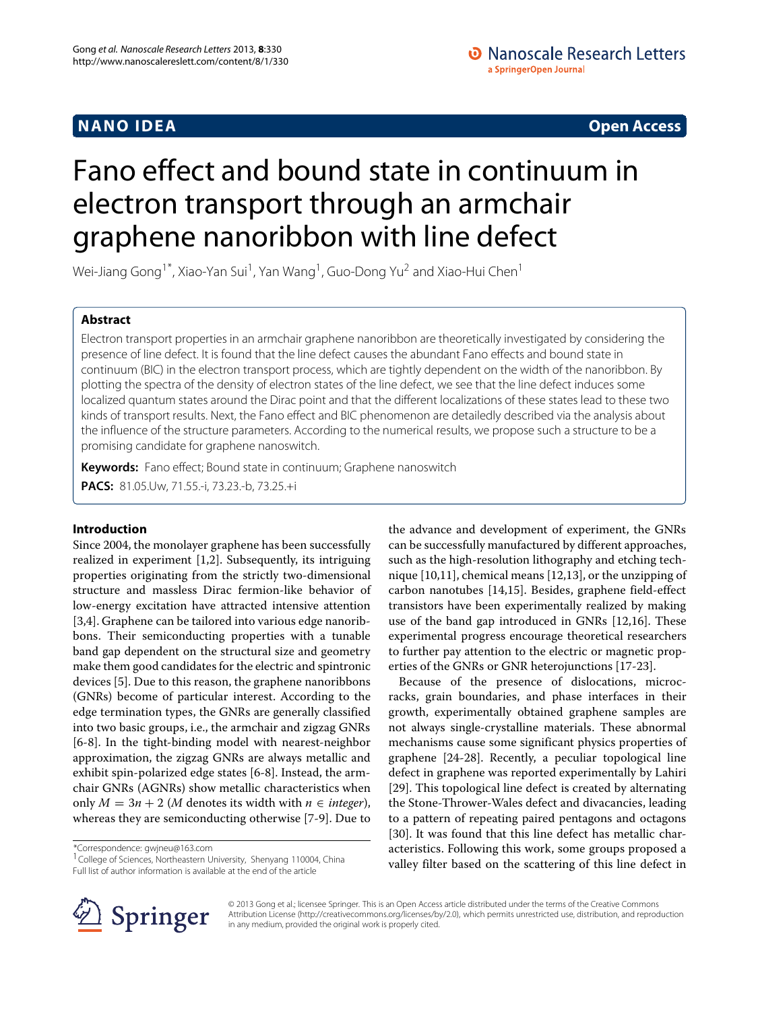## **NANO IDEA** Open Access **Contract Contract Contract Contract Contract Contract Contract Contract Contract Contract Contract Contract Contract Contract Contract Contract Contract Contract Contract Contract Contract Contract**

# Fano effect and bound state in continuum in electron transport through an armchair graphene nanoribbon with line defect

Wei-Jiang Gong<sup>1\*</sup>, Xiao-Yan Sui<sup>1</sup>, Yan Wang<sup>1</sup>, Guo-Dong Yu<sup>2</sup> and Xiao-Hui Chen<sup>1</sup>

#### **Abstract**

Electron transport properties in an armchair graphene nanoribbon are theoretically investigated by considering the presence of line defect. It is found that the line defect causes the abundant Fano effects and bound state in continuum (BIC) in the electron transport process, which are tightly dependent on the width of the nanoribbon. By plotting the spectra of the density of electron states of the line defect, we see that the line defect induces some localized quantum states around the Dirac point and that the different localizations of these states lead to these two kinds of transport results. Next, the Fano effect and BIC phenomenon are detailedly described via the analysis about the influence of the structure parameters. According to the numerical results, we propose such a structure to be a promising candidate for graphene nanoswitch.

**Keywords:** Fano effect; Bound state in continuum; Graphene nanoswitch

**PACS:** 81.05.Uw, 71.55.-i, 73.23.-b, 73.25.+i

#### **Introduction**

Since 2004, the monolayer graphene has been successfully realized in experiment [\[1,](#page-7-0)[2\]](#page-7-1). Subsequently, its intriguing properties originating from the strictly two-dimensional structure and massless Dirac fermion-like behavior of low-energy excitation have attracted intensive attention [\[3](#page-7-2)[,4\]](#page-7-3). Graphene can be tailored into various edge nanoribbons. Their semiconducting properties with a tunable band gap dependent on the structural size and geometry make them good candidates for the electric and spintronic devices [\[5\]](#page-7-4). Due to this reason, the graphene nanoribbons (GNRs) become of particular interest. According to the edge termination types, the GNRs are generally classified into two basic groups, i.e., the armchair and zigzag GNRs [\[6](#page-7-5)[-8\]](#page-7-6). In the tight-binding model with nearest-neighbor approximation, the zigzag GNRs are always metallic and exhibit spin-polarized edge states [\[6-](#page-7-5)[8\]](#page-7-6). Instead, the armchair GNRs (AGNRs) show metallic characteristics when only  $M = 3n + 2$  (*M* denotes its width with  $n \in integer$ ), whereas they are semiconducting otherwise [\[7](#page-7-7)[-9\]](#page-7-8). Due to

\*Correspondence: gwjneu@163.com

1College of Sciences, Northeastern University, Shenyang 110004, China Full list of author information is available at the end of the article

the advance and development of experiment, the GNRs can be successfully manufactured by different approaches, such as the high-resolution lithography and etching technique [\[10,](#page-7-9)[11\]](#page-7-10), chemical means [\[12,](#page-7-11)[13\]](#page-7-12), or the unzipping of carbon nanotubes [\[14,](#page-7-13)[15\]](#page-7-14). Besides, graphene field-effect transistors have been experimentally realized by making use of the band gap introduced in GNRs [\[12,](#page-7-11)[16\]](#page-7-15). These experimental progress encourage theoretical researchers to further pay attention to the electric or magnetic properties of the GNRs or GNR heterojunctions [\[17-](#page-7-16)[23\]](#page-7-17).

Because of the presence of dislocations, microcracks, grain boundaries, and phase interfaces in their growth, experimentally obtained graphene samples are not always single-crystalline materials. These abnormal mechanisms cause some significant physics properties of graphene [\[24-](#page-8-0)[28\]](#page-8-1). Recently, a peculiar topological line defect in graphene was reported experimentally by Lahiri [\[29\]](#page-8-2). This topological line defect is created by alternating the Stone-Thrower-Wales defect and divacancies, leading to a pattern of repeating paired pentagons and octagons [\[30\]](#page-8-3). It was found that this line defect has metallic characteristics. Following this work, some groups proposed a valley filter based on the scattering of this line defect in



© 2013 Gong et al.; licensee Springer. This is an Open Access article distributed under the terms of the Creative Commons Attribution License (http://creativecommons.org/licenses/by/2.0), which permits unrestricted use, distribution, and reproduction in any medium, provided the original work is properly cited.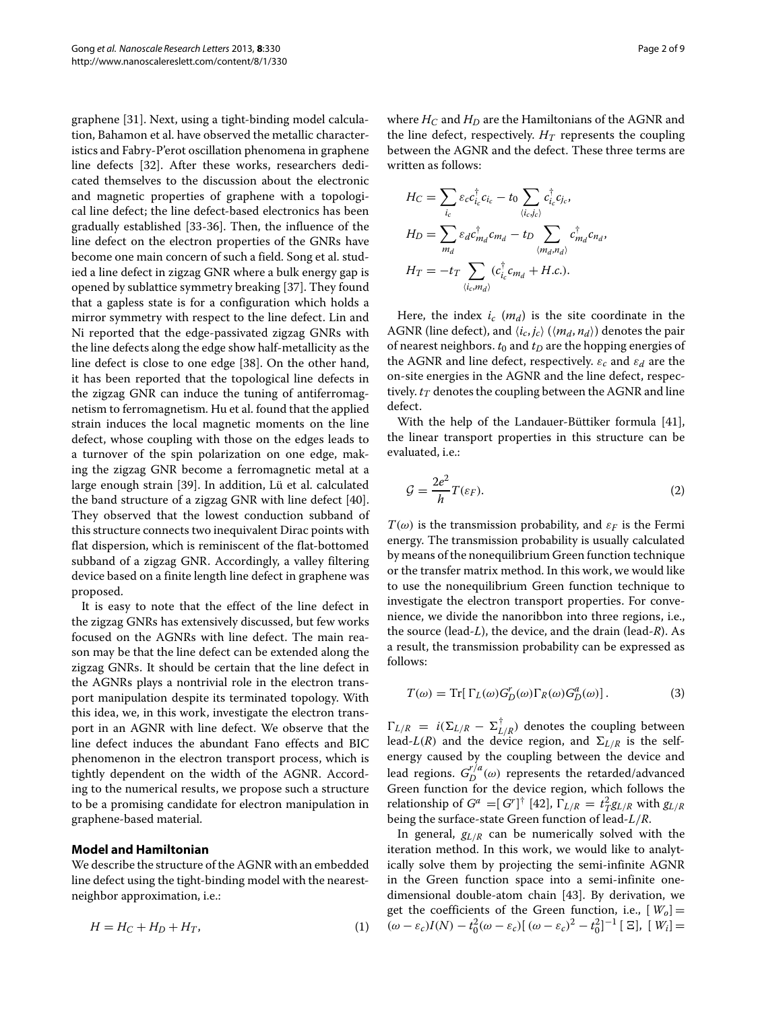graphene [\[31\]](#page-8-4). Next, using a tight-binding model calculation, Bahamon et al. have observed the metallic characteristics and Fabry-P'erot oscillation phenomena in graphene line defects [\[32\]](#page-8-5). After these works, researchers dedicated themselves to the discussion about the electronic and magnetic properties of graphene with a topological line defect; the line defect-based electronics has been gradually established [\[33](#page-8-6)[-36\]](#page-8-7). Then, the influence of the line defect on the electron properties of the GNRs have become one main concern of such a field. Song et al. studied a line defect in zigzag GNR where a bulk energy gap is opened by sublattice symmetry breaking [\[37\]](#page-8-8). They found that a gapless state is for a configuration which holds a mirror symmetry with respect to the line defect. Lin and Ni reported that the edge-passivated zigzag GNRs with the line defects along the edge show half-metallicity as the line defect is close to one edge [\[38\]](#page-8-9). On the other hand, it has been reported that the topological line defects in the zigzag GNR can induce the tuning of antiferromagnetism to ferromagnetism. Hu et al. found that the applied strain induces the local magnetic moments on the line defect, whose coupling with those on the edges leads to a turnover of the spin polarization on one edge, making the zigzag GNR become a ferromagnetic metal at a large enough strain [\[39\]](#page-8-10). In addition, Lü et al. calculated the band structure of a zigzag GNR with line defect [\[40\]](#page-8-11). They observed that the lowest conduction subband of this structure connects two inequivalent Dirac points with flat dispersion, which is reminiscent of the flat-bottomed subband of a zigzag GNR. Accordingly, a valley filtering device based on a finite length line defect in graphene was proposed.

It is easy to note that the effect of the line defect in the zigzag GNRs has extensively discussed, but few works focused on the AGNRs with line defect. The main reason may be that the line defect can be extended along the zigzag GNRs. It should be certain that the line defect in the AGNRs plays a nontrivial role in the electron transport manipulation despite its terminated topology. With this idea, we, in this work, investigate the electron transport in an AGNR with line defect. We observe that the line defect induces the abundant Fano effects and BIC phenomenon in the electron transport process, which is tightly dependent on the width of the AGNR. According to the numerical results, we propose such a structure to be a promising candidate for electron manipulation in graphene-based material.

#### **Model and Hamiltonian**

We describe the structure of the AGNR with an embedded line defect using the tight-binding model with the nearestneighbor approximation, i.e.:

$$
H = H_C + H_D + H_T,\tag{1}
$$

where  $H_C$  and  $H_D$  are the Hamiltonians of the AGNR and the line defect, respectively.  $H_T$  represents the coupling between the AGNR and the defect. These three terms are written as follows:

$$
H_C = \sum_{i_c} \varepsilon_c c_{i_c}^{\dagger} c_{i_c} - t_0 \sum_{\langle i_c, j_c \rangle} c_{i_c}^{\dagger} c_{j_c},
$$
  
\n
$$
H_D = \sum_{m_d} \varepsilon_d c_{m_d}^{\dagger} c_{m_d} - t_D \sum_{\langle m_d, n_d \rangle} c_{m_d}^{\dagger} c_{n_d},
$$
  
\n
$$
H_T = -t_T \sum_{\langle i_c, m_d \rangle} (c_{i_c}^{\dagger} c_{m_d} + H.c.).
$$

Here, the index  $i_c$  ( $m_d$ ) is the site coordinate in the AGNR (line defect), and  $\langle i_c, j_c \rangle$  ( $\langle m_d, n_d \rangle$ ) denotes the pair of nearest neighbors.  $t_0$  and  $t_D$  are the hopping energies of the AGNR and line defect, respectively. ε*<sup>c</sup>* and ε*<sup>d</sup>* are the on-site energies in the AGNR and the line defect, respectively.  $t_T$  denotes the coupling between the AGNR and line defect.

With the help of the Landauer-Büttiker formula [\[41\]](#page-8-12), the linear transport properties in this structure can be evaluated, i.e.:

$$
\mathcal{G} = \frac{2e^2}{h} T(\varepsilon_F). \tag{2}
$$

 $T(\omega)$  is the transmission probability, and  $\varepsilon_F$  is the Fermi energy. The transmission probability is usually calculated by means of the nonequilibrium Green function technique or the transfer matrix method. In this work, we would like to use the nonequilibrium Green function technique to investigate the electron transport properties. For convenience, we divide the nanoribbon into three regions, i.e., the source (lead-*L*), the device, and the drain (lead-*R*). As a result, the transmission probability can be expressed as follows:

$$
T(\omega) = \text{Tr}[\Gamma_L(\omega) G_D^r(\omega) \Gamma_R(\omega) G_D^a(\omega)]. \tag{3}
$$

 $\Gamma_{L/R}$  =  $i(\Sigma_{L/R} - \Sigma_{L/R}^{\dagger})$  denotes the coupling between lead- $L(R)$  and the device region, and  $\Sigma_{L/R}$  is the selfenergy caused by the coupling between the device and lead regions.  $G_D^{r/a}(\omega)$  represents the retarded/advanced Green function for the device region, which follows the relationship of  $G^a = [G^r]^{\dagger}$  [\[42\]](#page-8-13),  $\Gamma_{L/R} = t_T^2 g_{L/R}$  with  $g_{L/R}$ being the surface-state Green function of lead-*L*/*R*.

In general,  $g_{L/R}$  can be numerically solved with the iteration method. In this work, we would like to analytically solve them by projecting the semi-infinite AGNR in the Green function space into a semi-infinite onedimensional double-atom chain [\[43\]](#page-8-14). By derivation, we get the coefficients of the Green function, i.e.,  $[W_0] =$  $(\omega - \varepsilon_c)I(N) - t_0^2(\omega - \varepsilon_c)[(\omega - \varepsilon_c)^2 - t_0^2]^{-1} [\Xi], [W_i] =$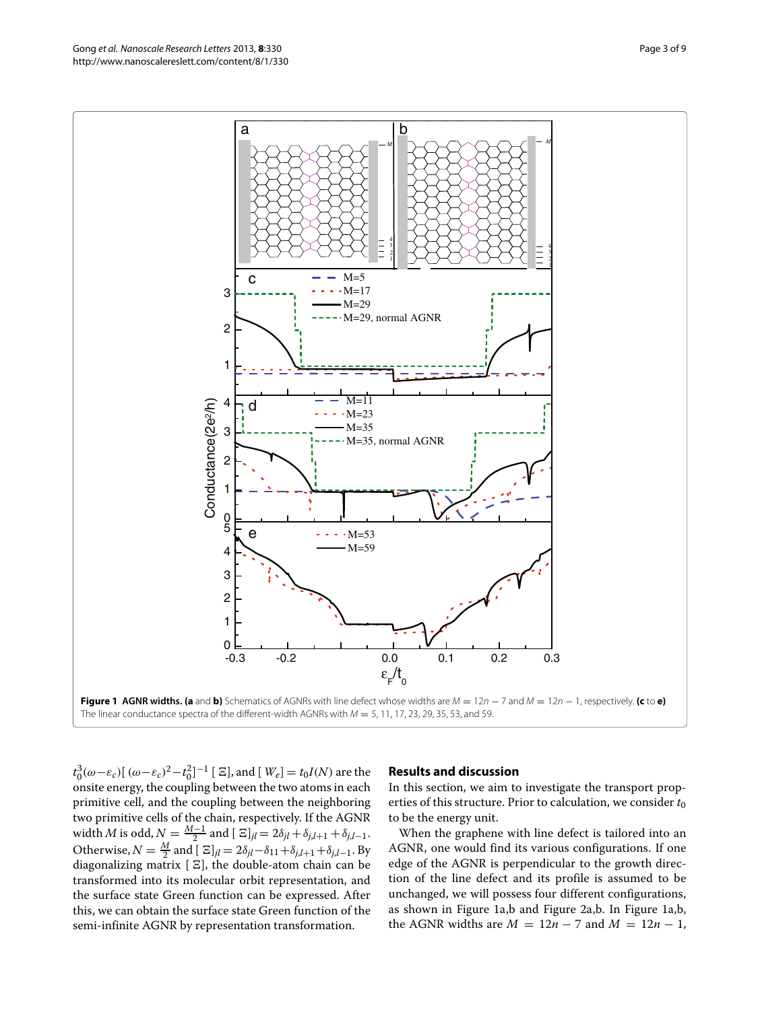<span id="page-2-0"></span> $t_0^3(\omega - \varepsilon_c)[(\omega - \varepsilon_c)^2 - t_0^2]^{-1}$  [  $\Xi$ ], and [  $W_e$ ] =  $t_0I(N)$  are the onsite energy, the coupling between the two atoms in each primitive cell, and the coupling between the neighboring two primitive cells of the chain, respectively. If the AGNR width *M* is odd,  $N = \frac{M-1}{2}$  and  $\left[\right. \Xi\right]_{jl} = 2\delta_{jl} + \delta_{j,l+1} + \delta_{j,l-1}.$ Otherwise,  $N = \frac{M}{2}$  and  $[\Xi]_{jl} = 2\delta_{jl} - \delta_{11} + \delta_{j,l+1} + \delta_{j,l-1}$ . By diagonalizing matrix  $[ \Xi ]$ , the double-atom chain can be transformed into its molecular orbit representation, and the surface state Green function can be expressed. After this, we can obtain the surface state Green function of the semi-infinite AGNR by representation transformation.

#### **Results and discussion**

In this section, we aim to investigate the transport properties of this structure. Prior to calculation, we consider *t*<sup>0</sup> to be the energy unit.

When the graphene with line defect is tailored into an AGNR, one would find its various configurations. If one edge of the AGNR is perpendicular to the growth direction of the line defect and its profile is assumed to be unchanged, we will possess four different configurations, as shown in Figure [1a](#page-2-0),b and Figure [2a](#page-3-0),b. In Figure [1a](#page-2-0),b, the AGNR widths are  $M = 12n - 7$  and  $M = 12n - 1$ ,

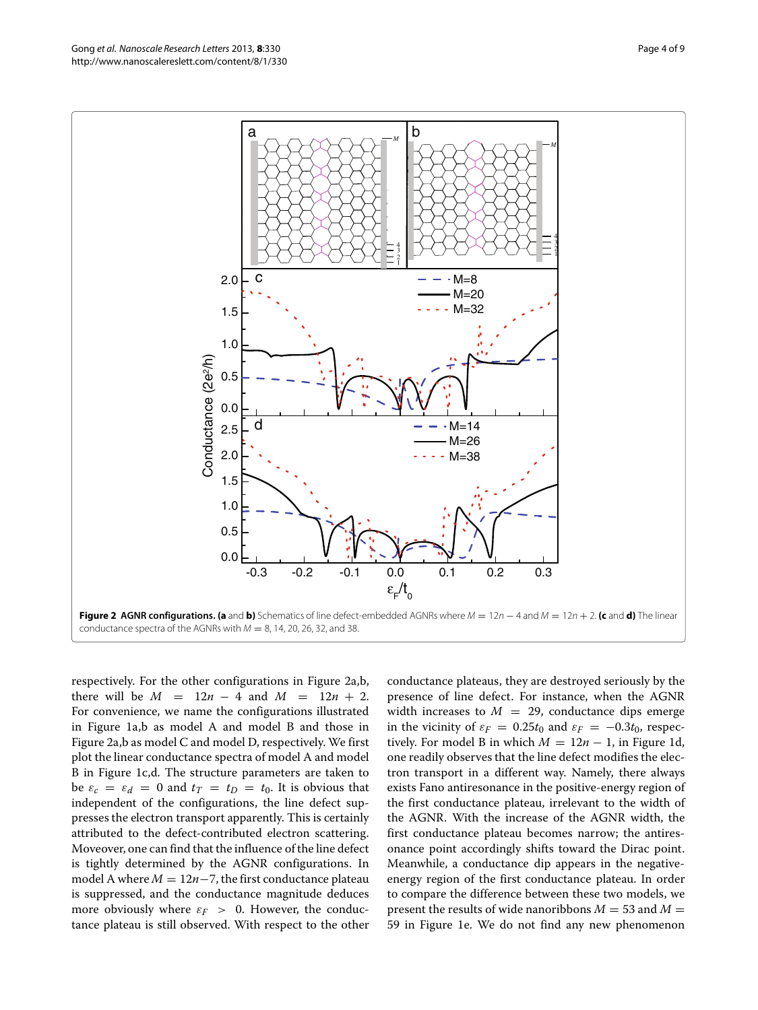<span id="page-3-0"></span>respectively. For the other configurations in Figure [2a](#page-3-0),b, there will be  $M = 12n - 4$  and  $M = 12n + 2$ . For convenience, we name the configurations illustrated in Figure [1a](#page-2-0),b as model A and model B and those in Figure [2a](#page-3-0),b as model C and model D, respectively. We first plot the linear conductance spectra of model A and model B in Figure [1c](#page-2-0),d. The structure parameters are taken to be  $\varepsilon_c = \varepsilon_d = 0$  and  $t_T = t_D = t_0$ . It is obvious that independent of the configurations, the line defect suppresses the electron transport apparently. This is certainly attributed to the defect-contributed electron scattering. Moveover, one can find that the influence of the line defect is tightly determined by the AGNR configurations. In model A where  $M = 12n-7$ , the first conductance plateau is suppressed, and the conductance magnitude deduces more obviously where  $\varepsilon_F > 0$ . However, the conductance plateau is still observed. With respect to the other

conductance plateaus, they are destroyed seriously by the presence of line defect. For instance, when the AGNR width increases to  $M = 29$ , conductance dips emerge in the vicinity of  $\varepsilon_F = 0.25t_0$  and  $\varepsilon_F = -0.3t_0$ , respectively. For model B in which  $M = 12n - 1$ , in Figure [1d](#page-2-0), one readily observes that the line defect modifies the electron transport in a different way. Namely, there always exists Fano antiresonance in the positive-energy region of the first conductance plateau, irrelevant to the width of the AGNR. With the increase of the AGNR width, the first conductance plateau becomes narrow; the antiresonance point accordingly shifts toward the Dirac point. Meanwhile, a conductance dip appears in the negativeenergy region of the first conductance plateau. In order to compare the difference between these two models, we present the results of wide nanoribbons  $M = 53$  and  $M =$ 59 in Figure [1e](#page-2-0). We do not find any new phenomenon

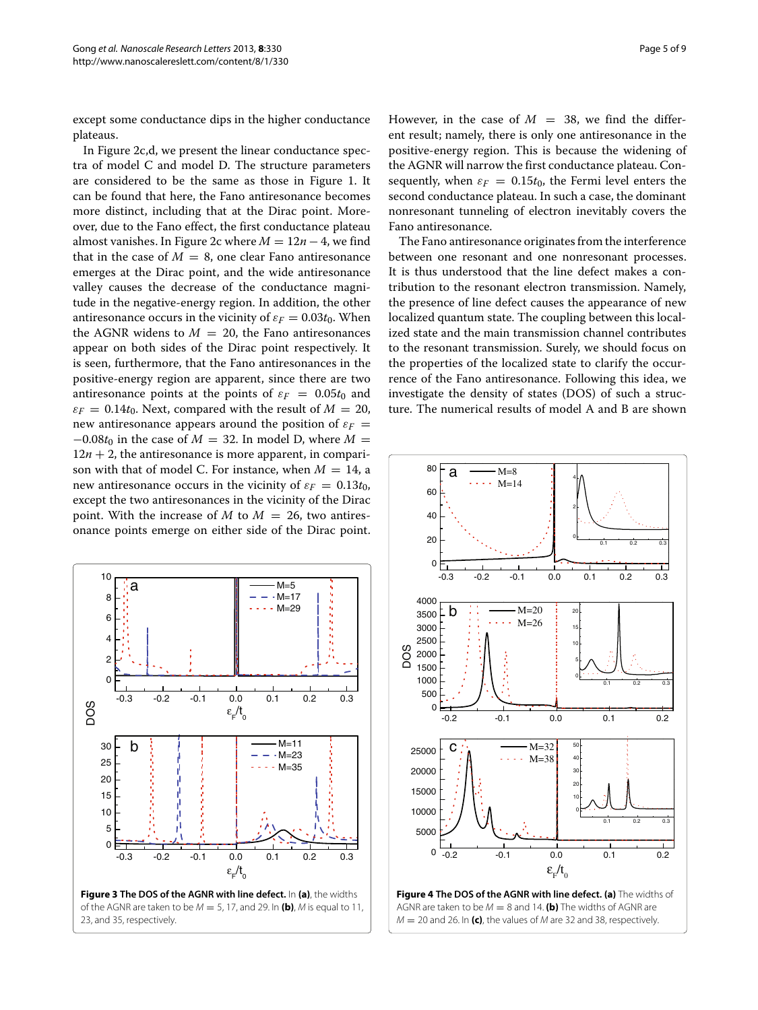except some conductance dips in the higher conductance plateaus.

In Figure [2c](#page-3-0),d, we present the linear conductance spectra of model C and model D. The structure parameters are considered to be the same as those in Figure [1.](#page-2-0) It can be found that here, the Fano antiresonance becomes more distinct, including that at the Dirac point. Moreover, due to the Fano effect, the first conductance plateau almost vanishes. In Figure [2c](#page-3-0) where  $M = 12n - 4$ , we find that in the case of  $M = 8$ , one clear Fano antiresonance emerges at the Dirac point, and the wide antiresonance valley causes the decrease of the conductance magnitude in the negative-energy region. In addition, the other antiresonance occurs in the vicinity of  $\varepsilon_F = 0.03 t_0$ . When the AGNR widens to  $M = 20$ , the Fano antiresonances appear on both sides of the Dirac point respectively. It is seen, furthermore, that the Fano antiresonances in the positive-energy region are apparent, since there are two antiresonance points at the points of  $\varepsilon_F = 0.05t_0$  and  $\varepsilon_F = 0.14t_0$ . Next, compared with the result of  $M = 20$ , new antiresonance appears around the position of  $\varepsilon_F$  =  $-0.08t_0$  in the case of *M* = 32. In model D, where *M* =  $12n + 2$ , the antiresonance is more apparent, in comparison with that of model C. For instance, when  $M = 14$ , a new antiresonance occurs in the vicinity of  $\varepsilon_F = 0.13t_0$ , except the two antiresonances in the vicinity of the Dirac point. With the increase of  $M$  to  $M = 26$ , two antiresonance points emerge on either side of the Dirac point.



However, in the case of  $M = 38$ , we find the different result; namely, there is only one antiresonance in the positive-energy region. This is because the widening of the AGNR will narrow the first conductance plateau. Consequently, when  $\varepsilon_F = 0.15t_0$ , the Fermi level enters the second conductance plateau. In such a case, the dominant nonresonant tunneling of electron inevitably covers the Fano antiresonance.

The Fano antiresonance originates from the interference between one resonant and one nonresonant processes. It is thus understood that the line defect makes a contribution to the resonant electron transmission. Namely, the presence of line defect causes the appearance of new localized quantum state. The coupling between this localized state and the main transmission channel contributes to the resonant transmission. Surely, we should focus on the properties of the localized state to clarify the occurrence of the Fano antiresonance. Following this idea, we investigate the density of states (DOS) of such a structure. The numerical results of model A and B are shown



<span id="page-4-1"></span><span id="page-4-0"></span> $M = 20$  and 26. In (c), the values of *M* are 32 and 38, respectively.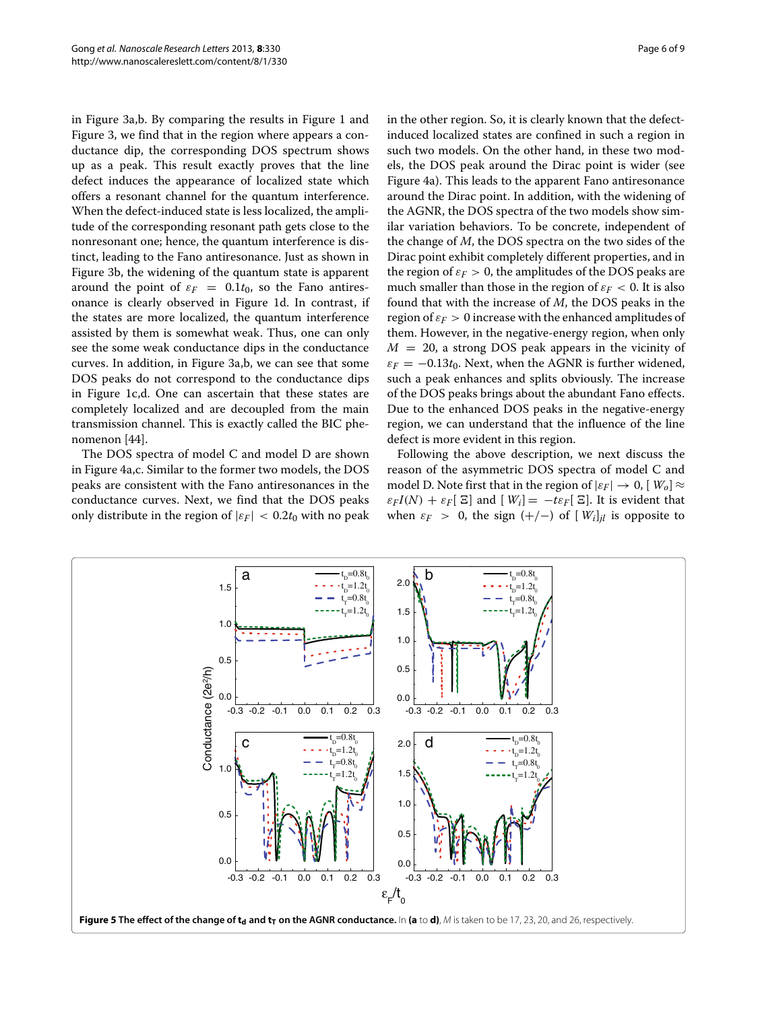in Figure [3a](#page-4-0),b. By comparing the results in Figure [1](#page-2-0) and Figure [3,](#page-4-0) we find that in the region where appears a conductance dip, the corresponding DOS spectrum shows up as a peak. This result exactly proves that the line defect induces the appearance of localized state which offers a resonant channel for the quantum interference. When the defect-induced state is less localized, the amplitude of the corresponding resonant path gets close to the nonresonant one; hence, the quantum interference is distinct, leading to the Fano antiresonance. Just as shown in Figure [3b](#page-4-0), the widening of the quantum state is apparent around the point of  $\varepsilon_F = 0.1t_0$ , so the Fano antiresonance is clearly observed in Figure [1d](#page-2-0). In contrast, if the states are more localized, the quantum interference assisted by them is somewhat weak. Thus, one can only see the some weak conductance dips in the conductance curves. In addition, in Figure [3a](#page-4-0),b, we can see that some DOS peaks do not correspond to the conductance dips in Figure [1c](#page-2-0),d. One can ascertain that these states are completely localized and are decoupled from the main transmission channel. This is exactly called the BIC phenomenon [\[44\]](#page-8-15).

The DOS spectra of model C and model D are shown in Figure [4a](#page-4-1),c. Similar to the former two models, the DOS peaks are consistent with the Fano antiresonances in the conductance curves. Next, we find that the DOS peaks only distribute in the region of  $|\varepsilon_F| < 0.2t_0$  with no peak in the other region. So, it is clearly known that the defectinduced localized states are confined in such a region in such two models. On the other hand, in these two models, the DOS peak around the Dirac point is wider (see Figure [4a](#page-4-1)). This leads to the apparent Fano antiresonance around the Dirac point. In addition, with the widening of the AGNR, the DOS spectra of the two models show similar variation behaviors. To be concrete, independent of the change of *M*, the DOS spectra on the two sides of the Dirac point exhibit completely different properties, and in the region of  $\varepsilon_F > 0$ , the amplitudes of the DOS peaks are much smaller than those in the region of  $\varepsilon_F < 0$ . It is also found that with the increase of *M*, the DOS peaks in the region of  $\varepsilon_F > 0$  increase with the enhanced amplitudes of them. However, in the negative-energy region, when only  $M = 20$ , a strong DOS peak appears in the vicinity of  $\varepsilon_F = -0.13t_0$ . Next, when the AGNR is further widened, such a peak enhances and splits obviously. The increase of the DOS peaks brings about the abundant Fano effects. Due to the enhanced DOS peaks in the negative-energy region, we can understand that the influence of the line defect is more evident in this region.

Following the above description, we next discuss the reason of the asymmetric DOS spectra of model C and model D. Note first that in the region of  $|\varepsilon_F| \to 0$ ,  $[W_o] \approx$  $\varepsilon_F I(N) + \varepsilon_F [\Xi]$  and  $[W_i] = -t \varepsilon_F [\Xi]$ . It is evident that when  $\varepsilon_F > 0$ , the sign  $(+/-)$  of  $[W_i]_{i}$  is opposite to

<span id="page-5-0"></span>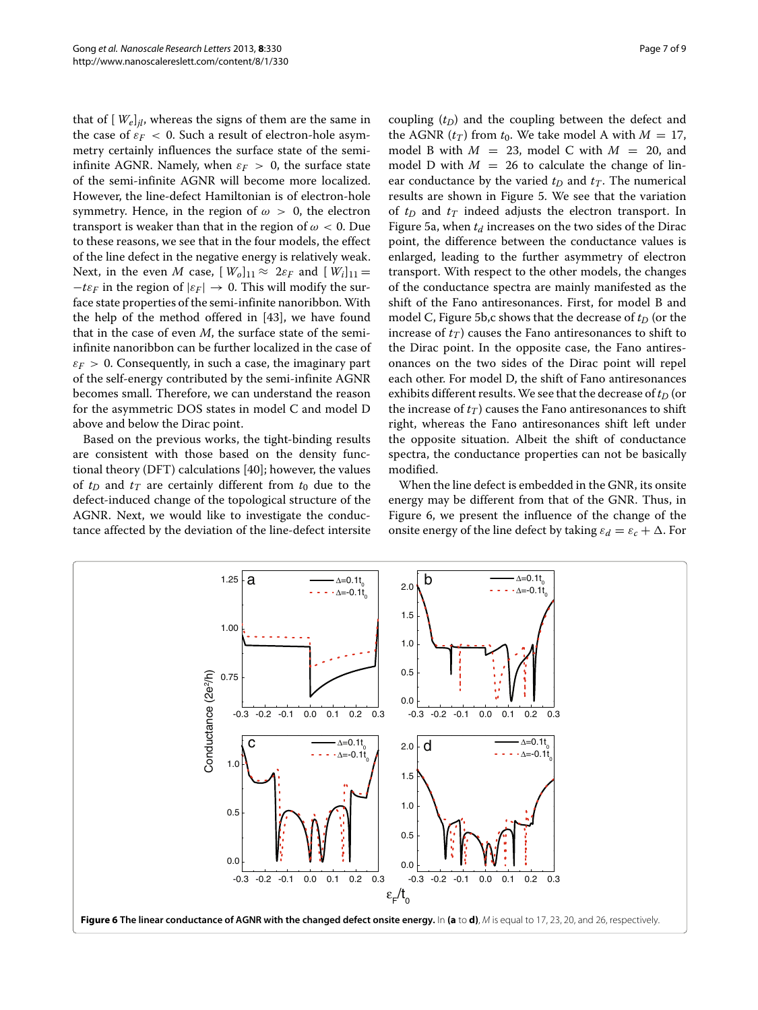that of [ *We*]*jl*, whereas the signs of them are the same in the case of  $\varepsilon_F < 0$ . Such a result of electron-hole asymmetry certainly influences the surface state of the semiinfinite AGNR. Namely, when  $\varepsilon_F > 0$ , the surface state of the semi-infinite AGNR will become more localized. However, the line-defect Hamiltonian is of electron-hole symmetry. Hence, in the region of  $\omega > 0$ , the electron transport is weaker than that in the region of  $\omega < 0$ . Due to these reasons, we see that in the four models, the effect of the line defect in the negative energy is relatively weak. Next, in the even *M* case,  $[W_0]_{11} \approx 2\varepsilon_F$  and  $[W_i]_{11} =$  $-t\epsilon_F$  in the region of  $|\epsilon_F| \to 0$ . This will modify the surface state properties of the semi-infinite nanoribbon. With the help of the method offered in [\[43\]](#page-8-14), we have found that in the case of even *M*, the surface state of the semiinfinite nanoribbon can be further localized in the case of  $\varepsilon_F > 0$ . Consequently, in such a case, the imaginary part of the self-energy contributed by the semi-infinite AGNR becomes small. Therefore, we can understand the reason for the asymmetric DOS states in model C and model D above and below the Dirac point.

Based on the previous works, the tight-binding results are consistent with those based on the density functional theory (DFT) calculations [\[40\]](#page-8-11); however, the values of  $t_D$  and  $t_T$  are certainly different from  $t_0$  due to the defect-induced change of the topological structure of the AGNR. Next, we would like to investigate the conductance affected by the deviation of the line-defect intersite coupling  $(t_D)$  and the coupling between the defect and the AGNR  $(t_T)$  from  $t_0$ . We take model A with  $M = 17$ , model B with  $M = 23$ , model C with  $M = 20$ , and model D with  $M = 26$  to calculate the change of linear conductance by the varied  $t_D$  and  $t_T$ . The numerical results are shown in Figure [5.](#page-5-0) We see that the variation of  $t_D$  and  $t_T$  indeed adjusts the electron transport. In Figure [5a](#page-5-0), when  $t_d$  increases on the two sides of the Dirac point, the difference between the conductance values is enlarged, leading to the further asymmetry of electron transport. With respect to the other models, the changes of the conductance spectra are mainly manifested as the shift of the Fano antiresonances. First, for model B and model C, Figure [5b](#page-5-0),c shows that the decrease of  $t_D$  (or the increase of  $t_T$ ) causes the Fano antiresonances to shift to the Dirac point. In the opposite case, the Fano antiresonances on the two sides of the Dirac point will repel each other. For model D, the shift of Fano antiresonances exhibits different results. We see that the decrease of  $t_D$  (or the increase of  $t_T$ ) causes the Fano antiresonances to shift right, whereas the Fano antiresonances shift left under the opposite situation. Albeit the shift of conductance spectra, the conductance properties can not be basically modified.

When the line defect is embedded in the GNR, its onsite energy may be different from that of the GNR. Thus, in Figure [6,](#page-6-0) we present the influence of the change of the onsite energy of the line defect by taking  $\varepsilon_d = \varepsilon_c + \Delta$ . For

<span id="page-6-0"></span>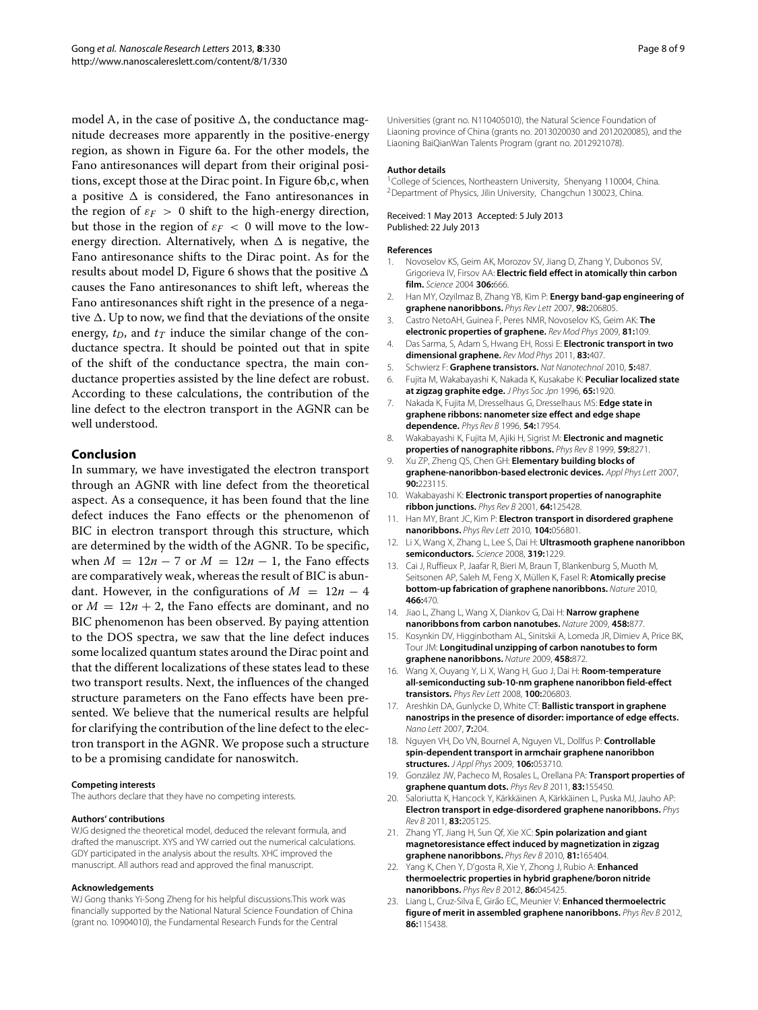model A, in the case of positive  $\Delta$ , the conductance magnitude decreases more apparently in the positive-energy region, as shown in Figure [6a](#page-6-0). For the other models, the Fano antiresonances will depart from their original positions, except those at the Dirac point. In Figure [6b](#page-6-0),c, when a positive  $\Delta$  is considered, the Fano antiresonances in the region of  $\varepsilon_F > 0$  shift to the high-energy direction, but those in the region of  $\varepsilon_F < 0$  will move to the lowenergy direction. Alternatively, when  $\Delta$  is negative, the Fano antiresonance shifts to the Dirac point. As for the results about model D, Figure [6](#page-6-0) shows that the positive  $\Delta$ causes the Fano antiresonances to shift left, whereas the Fano antiresonances shift right in the presence of a negative  $\Delta$ . Up to now, we find that the deviations of the onsite energy,  $t_D$ , and  $t_T$  induce the similar change of the conductance spectra. It should be pointed out that in spite of the shift of the conductance spectra, the main conductance properties assisted by the line defect are robust. According to these calculations, the contribution of the line defect to the electron transport in the AGNR can be well understood.

### **Conclusion**

In summary, we have investigated the electron transport through an AGNR with line defect from the theoretical aspect. As a consequence, it has been found that the line defect induces the Fano effects or the phenomenon of BIC in electron transport through this structure, which are determined by the width of the AGNR. To be specific, when  $M = 12n - 7$  or  $M = 12n - 1$ , the Fano effects are comparatively weak, whereas the result of BIC is abundant. However, in the configurations of  $M = 12n - 4$ or  $M = 12n + 2$ , the Fano effects are dominant, and no BIC phenomenon has been observed. By paying attention to the DOS spectra, we saw that the line defect induces some localized quantum states around the Dirac point and that the different localizations of these states lead to these two transport results. Next, the influences of the changed structure parameters on the Fano effects have been presented. We believe that the numerical results are helpful for clarifying the contribution of the line defect to the electron transport in the AGNR. We propose such a structure to be a promising candidate for nanoswitch.

#### **Competing interests**

The authors declare that they have no competing interests.

#### **Authors' contributions**

WJG designed the theoretical model, deduced the relevant formula, and drafted the manuscript. XYS and YW carried out the numerical calculations. GDY participated in the analysis about the results. XHC improved the manuscript. All authors read and approved the final manuscript.

#### **Acknowledgements**

WJ Gong thanks Yi-Song Zheng for his helpful discussions. This work was financially supported by the National Natural Science Foundation of China (grant no. 10904010), the Fundamental Research Funds for the Central

Universities (grant no. N110405010), the Natural Science Foundation of Liaoning province of China (grants no. 2013020030 and 2012020085), and the Liaoning BaiQianWan Talents Program (grant no. 2012921078).

#### **Author details**

1College of Sciences, Northeastern University, Shenyang 110004, China. 2Department of Physics, Jilin University, Changchun 130023, China.

#### Received: 1 May 2013 Accepted: 5 July 2013 Published: 22 July 2013

#### **References**

- <span id="page-7-0"></span>1. Novoselov KS, Geim AK, Morozov SV, Jiang D, Zhang Y, Dubonos SV, Grigorieva IV, Firsov AA: **Electric field effect in atomically thin carbon film.** *Science* 2004 **306:**666.
- <span id="page-7-1"></span>2. Han MY, Ozyilmaz B, Zhang YB, Kim P: **Energy band-gap engineering of graphene nanoribbons.** *Phys Rev Lett* 2007, **98:**206805.
- <span id="page-7-2"></span>3. Castro NetoAH, Guinea F, Peres NMR, Novoselov KS, Geim AK: **The electronic properties of graphene.** *Rev Mod Phys* 2009, **81:**109.
- <span id="page-7-3"></span>4. Das Sarma, S, Adam S, Hwang EH, Rossi E: **Electronic transport in two dimensional graphene.** *Rev Mod Phys* 2011, **83:**407.
- <span id="page-7-4"></span>5. Schwierz F: **Graphene transistors.** *Nat Nanotechnol* 2010, **5:**487.
- <span id="page-7-5"></span>6. Fujita M, Wakabayashi K, Nakada K, Kusakabe K: **Peculiar localized state at zigzag graphite edge.** *J Phys Soc Jpn* 1996, **65:**1920.
- <span id="page-7-7"></span>7. Nakada K, Fujita M, Dresselhaus G, Dresselhaus MS: **Edge state in graphene ribbons: nanometer size effect and edge shape dependence.** *Phys Rev B* 1996, **54:**17954.
- <span id="page-7-6"></span>8. Wakabayashi K, Fujita M, Ajiki H, Sigrist M: **Electronic and magnetic properties of nanographite ribbons.** *Phys Rev B* 1999, **59:**8271.
- <span id="page-7-8"></span>9. Xu ZP, Zheng QS, Chen GH: **Elementary building blocks of graphene-nanoribbon-based electronic devices.** *Appl Phys Lett* 2007, **90:**223115.
- <span id="page-7-9"></span>10. Wakabayashi K: **Electronic transport properties of nanographite ribbon junctions.** *Phys Rev B* 2001, **64:**125428.
- <span id="page-7-10"></span>11. Han MY, Brant JC, Kim P: **Electron transport in disordered graphene nanoribbons.** *Phys Rev Lett* 2010, **104:**056801.
- <span id="page-7-11"></span>12. Li X, Wang X, Zhang L, Lee S, Dai H: **Ultrasmooth graphene nanoribbon semiconductors.** *Science* 2008, **319:**1229.
- <span id="page-7-12"></span>13. Cai J, Ruffieux P, Jaafar R, Bieri M, Braun T, Blankenburg S, Muoth M, Seitsonen AP, Saleh M, Feng X, Müllen K, Fasel R: **Atomically precise bottom-up fabrication of graphene nanoribbons.** *Nature* 2010, **466:**470.
- <span id="page-7-13"></span>14. Jiao L, Zhang L, Wang X, Diankov G, Dai H: **Narrow graphene nanoribbons from carbon nanotubes.** *Nature* 2009, **458:**877.
- <span id="page-7-14"></span>15. Kosynkin DV, Higginbotham AL, Sinitskii A, Lomeda JR, Dimiev A, Price BK, Tour JM: **Longitudinal unzipping of carbon nanotubes to form graphene nanoribbons.** *Nature* 2009, **458:**872.
- <span id="page-7-15"></span>16. Wang X, Ouyang Y, Li X, Wang H, Guo J, Dai H: **Room-temperature all-semiconducting sub-10-nm graphene nanoribbon field-effect transistors.** *Phys Rev Lett* 2008, **100:**206803.
- <span id="page-7-16"></span>17. Areshkin DA, Gunlycke D, White CT: **Ballistic transport in graphene nanostrips in the presence of disorder: importance of edge effects.** *Nano Lett* 2007, **7:**204.
- 18. Nguyen VH, Do VN, Bournel A, Nguyen VL, Dollfus P: **Controllable spin-dependent transport in armchair graphene nanoribbon structures.** *J Appl Phys* 2009, **106:**053710.
- 19. González JW, Pacheco M, Rosales L, Orellana PA: **Transport properties of graphene quantum dots.** *Phys Rev B* 2011, **83:**155450.
- 20. Saloriutta K, Hancock Y, Kärkkäinen A, Kärkkäinen L, Puska MJ, Jauho AP: **Electron transport in edge-disordered graphene nanoribbons.** *Phys Rev B* 2011, **83:**205125.
- 21. Zhang YT, Jiang H, Sun Qf, Xie XC: **Spin polarization and giant magnetoresistance effect induced by magnetization in zigzag graphene nanoribbons.** *Phys Rev B* 2010, **81:**165404.
- 22. Yang K, Chen Y, D'gosta R, Xie Y, Zhong J, Rubio A: **Enhanced thermoelectric properties in hybrid graphene/boron nitride nanoribbons.** *Phys Rev B* 2012, **86:**045425.
- <span id="page-7-17"></span>23. Liang L, Cruz-Silva E, Girão EC, Meunier V: **Enhanced thermoelectric figure of merit in assembled graphene nanoribbons.** *Phys Rev B* 2012, **86:**115438.